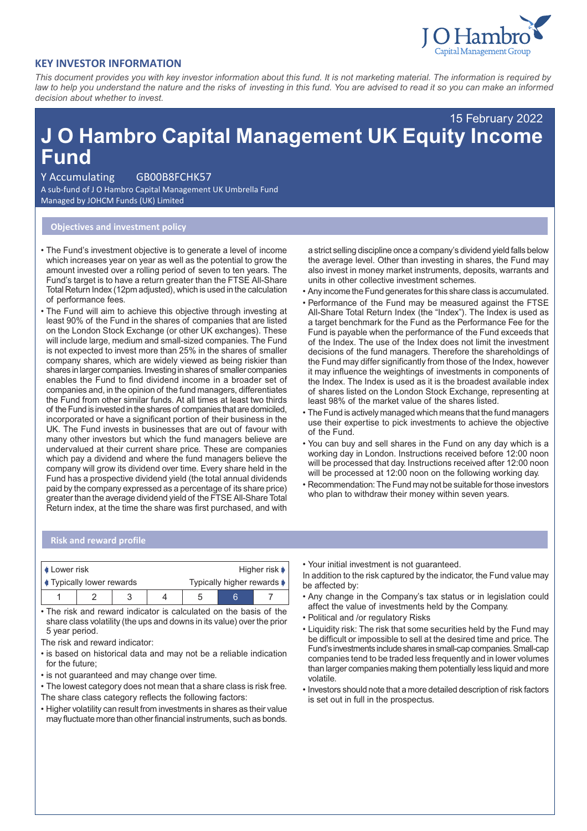

## **KEY INVESTOR INFORMATION**

*This document provides you with key investor information about this fund. It is not marketing material. The information is required by law to help you understand the nature and the risks of investing in this fund. You are advised to read it so you can make an informed decision about whether to invest.*

# **J O Hambro Capital Management UK Equity Income Fund** 15 February 2022

#### Y Accumulating GB00B8FCHK57

A sub-fund of J O Hambro Capital Management UK Umbrella Fund Managed by JOHCM Funds (UK) Limited

## **Objectives and investment policy**

- The Fund's investment objective is to generate a level of income which increases year on year as well as the potential to grow the amount invested over a rolling period of seven to ten years. The Fund's target is to have a return greater than the FTSE All-Share Total Return Index (12pm adjusted), which is used in the calculation of performance fees.
- The Fund will aim to achieve this objective through investing at least 90% of the Fund in the shares of companies that are listed on the London Stock Exchange (or other UK exchanges). These will include large, medium and small-sized companies. The Fund is not expected to invest more than 25% in the shares of smaller company shares, which are widely viewed as being riskier than shares in larger companies. Investing in shares of smaller companies enables the Fund to find dividend income in a broader set of companies and, in the opinion of the fund managers, differentiates the Fund from other similar funds. At all times at least two thirds of the Fund is invested in the shares of companies that are domiciled, incorporated or have a significant portion of their business in the UK. The Fund invests in businesses that are out of favour with many other investors but which the fund managers believe are undervalued at their current share price. These are companies which pay a dividend and where the fund managers believe the company will grow its dividend over time. Every share held in the Fund has a prospective dividend yield (the total annual dividends paid by the company expressed as a percentage of its share price) greater than the average dividend yield of the FTSE All-Share Total Return index, at the time the share was first purchased, and with

a strict selling discipline once a company's dividend yield falls below the average level. Other than investing in shares, the Fund may also invest in money market instruments, deposits, warrants and units in other collective investment schemes.

- Any income the Fund generates for this share class is accumulated.
- Performance of the Fund may be measured against the FTSE All-Share Total Return Index (the "Index"). The Index is used as a target benchmark for the Fund as the Performance Fee for the Fund is payable when the performance of the Fund exceeds that of the Index. The use of the Index does not limit the investment decisions of the fund managers. Therefore the shareholdings of the Fund may differ significantly from those of the Index, however it may influence the weightings of investments in components of the Index. The Index is used as it is the broadest available index of shares listed on the London Stock Exchange, representing at least 98% of the market value of the shares listed.
- The Fund is actively managed which means that the fund managers use their expertise to pick investments to achieve the objective of the Fund.
- You can buy and sell shares in the Fund on any day which is a working day in London. Instructions received before 12:00 noon will be processed that day. Instructions received after 12:00 noon will be processed at 12:00 noon on the following working day.
- Recommendation: The Fund may not be suitable for those investors who plan to withdraw their money within seven years.

#### **Risk and reward profile**

| <b>↓ Lower risk</b>            |  |  |  | Higher risk $\blacktriangleright$ |  |  |
|--------------------------------|--|--|--|-----------------------------------|--|--|
| <b>Typically lower rewards</b> |  |  |  | Typically higher rewards ♦        |  |  |
|                                |  |  |  |                                   |  |  |

• The risk and reward indicator is calculated on the basis of the share class volatility (the ups and downs in its value) over the prior 5 year period.

- The risk and reward indicator:
- is based on historical data and may not be a reliable indication for the future;
- is not guaranteed and may change over time.
- The lowest category does not mean that a share class is risk free. The share class category reflects the following factors:
- Higher volatility can result from investments in shares as their value may fluctuate more than other financial instruments, such as bonds.

• Your initial investment is not guaranteed.

In addition to the risk captured by the indicator, the Fund value may be affected by:

- Any change in the Company's tax status or in legislation could affect the value of investments held by the Company.
- Political and /or regulatory Risks
- Liquidity risk: The risk that some securities held by the Fund may be difficult or impossible to sell at the desired time and price. The Fund'sinvestmentsincludesharesinsmall-capcompanies.Small-cap companies tend to be traded less frequently and in lower volumes than larger companies making them potentially less liquid and more volatile.
- Investors should note that a more detailed description of risk factors is set out in full in the prospectus.